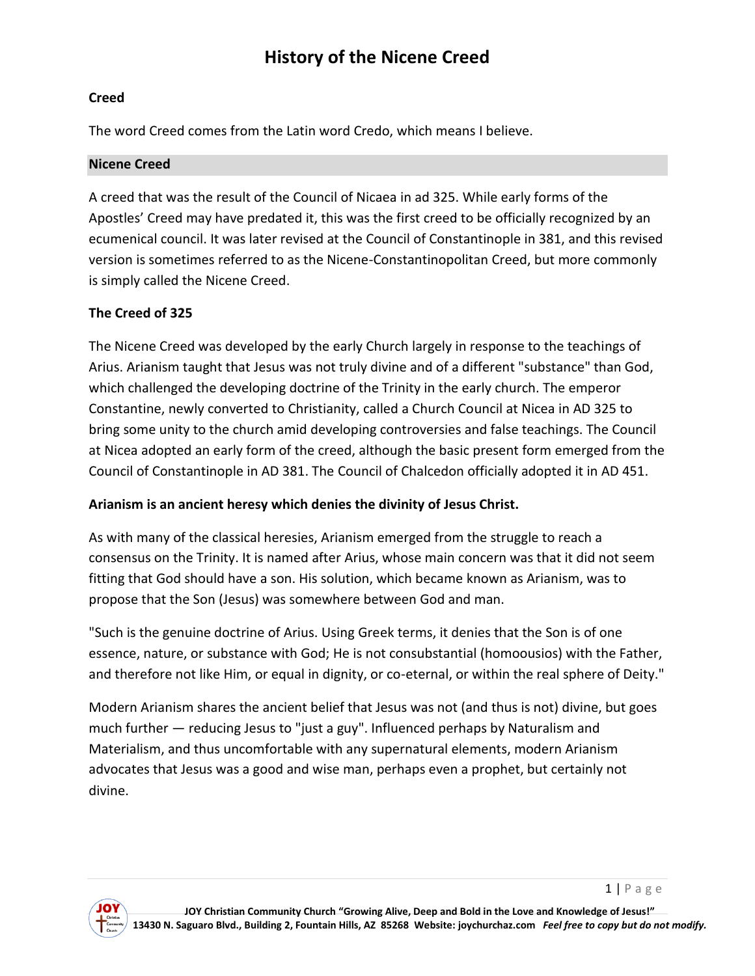# **History of the Nicene Creed**

# **Creed**

The word Creed comes from the Latin word Credo, which means I believe.

#### **Nicene Creed**

A creed that was the result of the Council of Nicaea in ad 325. While early forms of the Apostles' Creed may have predated it, this was the first creed to be officially recognized by an ecumenical council. It was later revised at the Council of Constantinople in 381, and this revised version is sometimes referred to as the Nicene-Constantinopolitan Creed, but more commonly is simply called the Nicene Creed.

# **The Creed of 325**

The Nicene Creed was developed by the early Church largely in response to the teachings of Arius. Arianism taught that Jesus was not truly divine and of a different "substance" than God, which challenged the developing doctrine of the Trinity in the early church. The emperor Constantine, newly converted to Christianity, called a Church Council at Nicea in AD 325 to bring some unity to the church amid developing controversies and false teachings. The Council at Nicea adopted an early form of the creed, although the basic present form emerged from the Council of Constantinople in AD 381. The Council of Chalcedon officially adopted it in AD 451.

# **Arianism is an ancient heresy which denies the divinity of Jesus Christ.**

As with many of the classical heresies, Arianism emerged from the struggle to reach a consensus on the Trinity. It is named after Arius, whose main concern was that it did not seem fitting that God should have a son. His solution, which became known as Arianism, was to propose that the Son (Jesus) was somewhere between God and man.

"Such is the genuine doctrine of Arius. Using Greek terms, it denies that the Son is of one essence, nature, or substance with God; He is not consubstantial (homoousios) with the Father, and therefore not like Him, or equal in dignity, or co-eternal, or within the real sphere of Deity."

Modern Arianism shares the ancient belief that Jesus was not (and thus is not) divine, but goes much further — reducing Jesus to "just a guy". Influenced perhaps by Naturalism and Materialism, and thus uncomfortable with any supernatural elements, modern Arianism advocates that Jesus was a good and wise man, perhaps even a prophet, but certainly not divine.



 $1 | P \text{ a ge}$